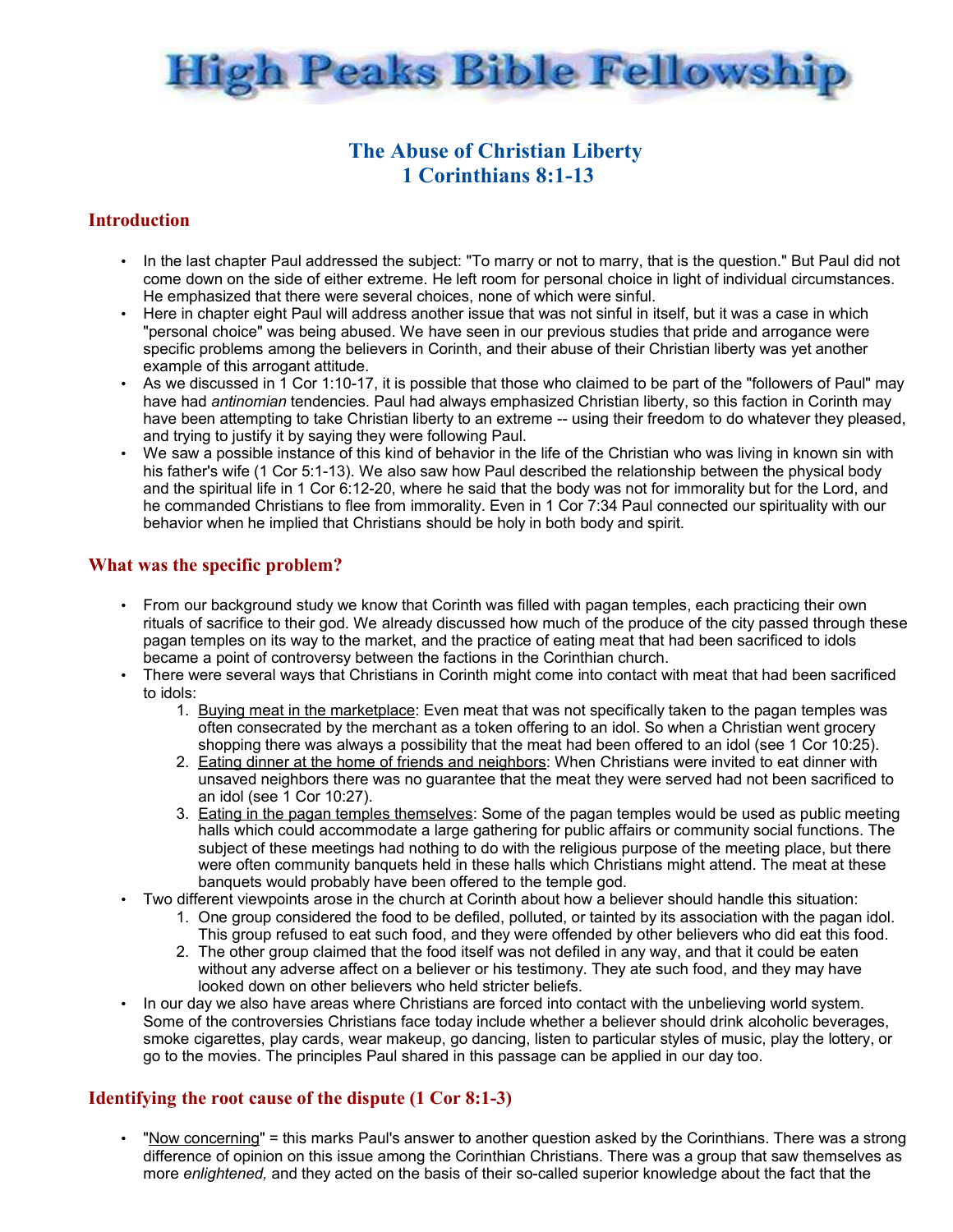

# **The Abuse of Christian Liberty 1 Corinthians 8:1-13**

### **Introduction**

- In the last chapter Paul addressed the subject: "To marry or not to marry, that is the question." But Paul did not come down on the side of either extreme. He left room for personal choice in light of individual circumstances. He emphasized that there were several choices, none of which were sinful.
- Here in chapter eight Paul will address another issue that was not sinful in itself, but it was a case in which "personal choice" was being abused. We have seen in our previous studies that pride and arrogance were specific problems among the believers in Corinth, and their abuse of their Christian liberty was yet another example of this arrogant attitude.
- As we discussed in  $\overline{1}$  Cor 1:10-17, it is possible that those who claimed to be part of the "followers of Paul" may have had *antinomian* tendencies. Paul had always emphasized Christian liberty, so this faction in Corinth may have been attempting to take Christian liberty to an extreme -- using their freedom to do whatever they pleased, and trying to justify it by saying they were following Paul.
- We saw a possible instance of this kind of behavior in the life of the Christian who was living in known sin with his father's wife (1 Cor 5:1-13). We also saw how Paul described the relationship between the physical body and the spiritual life in 1 Cor 6:12-20, where he said that the body was not for immorality but for the Lord, and he commanded Christians to flee from immorality. Even in 1 Cor 7:34 Paul connected our spirituality with our behavior when he implied that Christians should be holy in both body and spirit.

## **What was the specific problem?**

- From our background study we know that Corinth was filled with pagan temples, each practicing their own rituals of sacrifice to their god. We already discussed how much of the produce of the city passed through these pagan temples on its way to the market, and the practice of eating meat that had been sacrificed to idols became a point of controversy between the factions in the Corinthian church.
- There were several ways that Christians in Corinth might come into contact with meat that had been sacrificed to idols:
	- 1. Buying meat in the marketplace: Even meat that was not specifically taken to the pagan temples was often consecrated by the merchant as a token offering to an idol. So when a Christian went grocery shopping there was always a possibility that the meat had been offered to an idol (see 1 Cor 10:25).
	- 2. Eating dinner at the home of friends and neighbors: When Christians were invited to eat dinner with unsaved neighbors there was no guarantee that the meat they were served had not been sacrificed to an idol (see 1 Cor 10:27).
	- 3. Eating in the pagan temples themselves: Some of the pagan temples would be used as public meeting halls which could accommodate a large gathering for public affairs or community social functions. The subject of these meetings had nothing to do with the religious purpose of the meeting place, but there were often community banquets held in these halls which Christians might attend. The meat at these banquets would probably have been offered to the temple god.
- Two different viewpoints arose in the church at Corinth about how a believer should handle this situation:
	- 1. One group considered the food to be defiled, polluted, or tainted by its association with the pagan idol. This group refused to eat such food, and they were offended by other believers who did eat this food.
	- 2. The other group claimed that the food itself was not defiled in any way, and that it could be eaten without any adverse affect on a believer or his testimony. They ate such food, and they may have looked down on other believers who held stricter beliefs.
- In our day we also have areas where Christians are forced into contact with the unbelieving world system. Some of the controversies Christians face today include whether a believer should drink alcoholic beverages, smoke cigarettes, play cards, wear makeup, go dancing, listen to particular styles of music, play the lottery, or go to the movies. The principles Paul shared in this passage can be applied in our day too.

### **Identifying the root cause of the dispute (1 Cor 8:1-3)**

• "Now concerning" = this marks Paul's answer to another question asked by the Corinthians. There was a strong difference of opinion on this issue among the Corinthian Christians. There was a group that saw themselves as more *enlightened,* and they acted on the basis of their so-called superior knowledge about the fact that the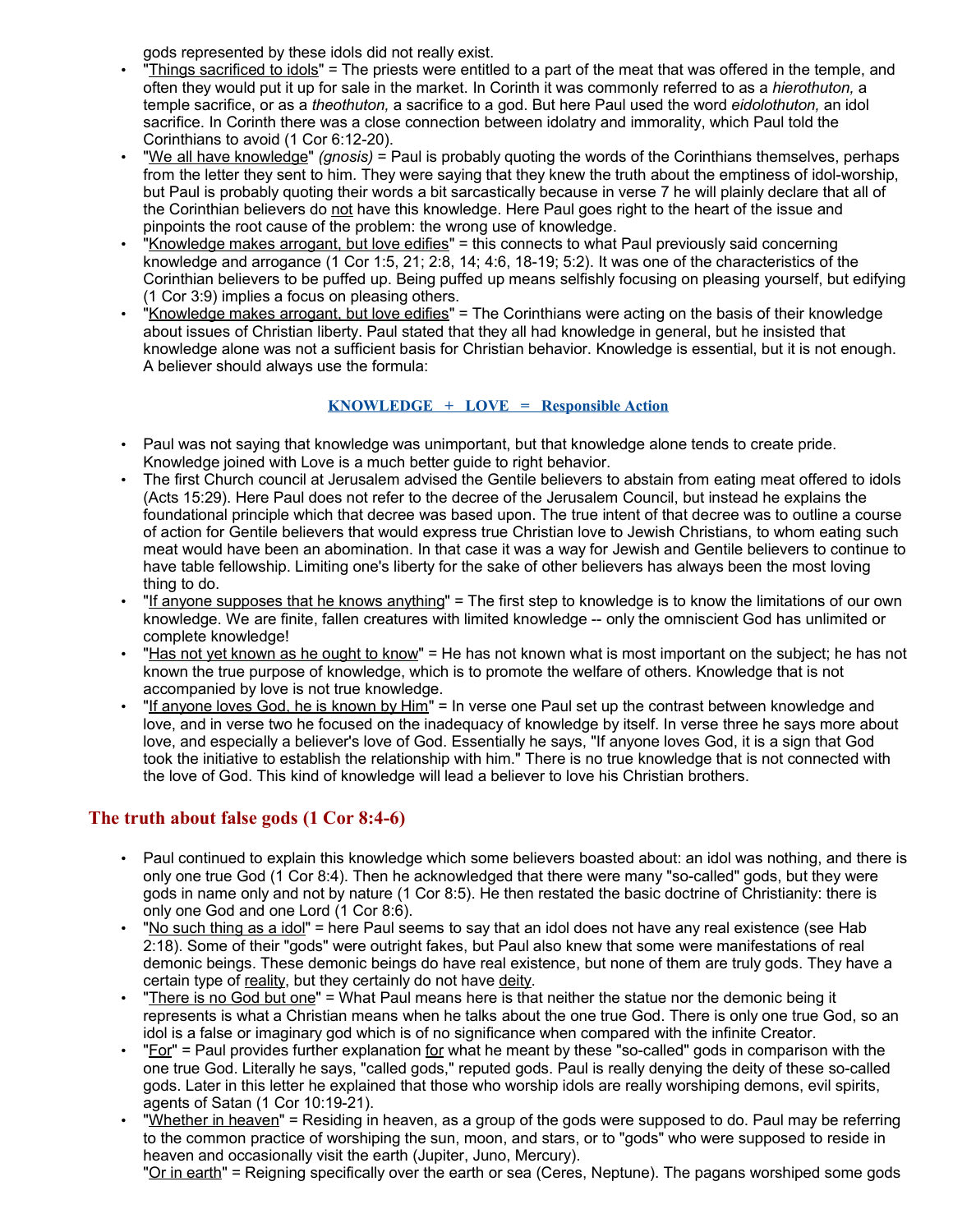gods represented by these idols did not really exist.

- "Things sacrificed to idols" = The priests were entitled to a part of the meat that was offered in the temple, and often they would put it up for sale in the market. In Corinth it was commonly referred to as a *hierothuton,* a temple sacrifice, or as a *theothuton,* a sacrifice to a god. But here Paul used the word *eidolothuton,* an idol sacrifice. In Corinth there was a close connection between idolatry and immorality, which Paul told the Corinthians to avoid (1 Cor 6:12-20).
- "We all have knowledge" *(gnosis)* = Paul is probably quoting the words of the Corinthians themselves, perhaps from the letter they sent to him. They were saying that they knew the truth about the emptiness of idol-worship, but Paul is probably quoting their words a bit sarcastically because in verse 7 he will plainly declare that all of the Corinthian believers do not have this knowledge. Here Paul goes right to the heart of the issue and pinpoints the root cause of the problem: the wrong use of knowledge.
- "Knowledge makes arrogant, but love edifies" = this connects to what Paul previously said concerning knowledge and arrogance (1 Cor 1:5, 21; 2:8, 14; 4:6, 18-19; 5:2). It was one of the characteristics of the Corinthian believers to be puffed up. Being puffed up means selfishly focusing on pleasing yourself, but edifying (1 Cor 3:9) implies a focus on pleasing others.
- "Knowledge makes arrogant, but love edifies" = The Corinthians were acting on the basis of their knowledge about issues of Christian liberty. Paul stated that they all had knowledge in general, but he insisted that knowledge alone was not a sufficient basis for Christian behavior. Knowledge is essential, but it is not enough. A believer should always use the formula:

## **KNOWLEDGE + LOVE = Responsible Action**

- Paul was not saying that knowledge was unimportant, but that knowledge alone tends to create pride. Knowledge joined with Love is a much better guide to right behavior.
- The first Church council at Jerusalem advised the Gentile believers to abstain from eating meat offered to idols (Acts 15:29). Here Paul does not refer to the decree of the Jerusalem Council, but instead he explains the foundational principle which that decree was based upon. The true intent of that decree was to outline a course of action for Gentile believers that would express true Christian love to Jewish Christians, to whom eating such meat would have been an abomination. In that case it was a way for Jewish and Gentile believers to continue to have table fellowship. Limiting one's liberty for the sake of other believers has always been the most loving thing to do.
- "If anyone supposes that he knows anything" = The first step to knowledge is to know the limitations of our own knowledge. We are finite, fallen creatures with limited knowledge -- only the omniscient God has unlimited or complete knowledge!
- "Has not yet known as he ought to know" = He has not known what is most important on the subject; he has not known the true purpose of knowledge, which is to promote the welfare of others. Knowledge that is not accompanied by love is not true knowledge.
- "If anyone loves God, he is known by Him" = In verse one Paul set up the contrast between knowledge and love, and in verse two he focused on the inadequacy of knowledge by itself. In verse three he says more about love, and especially a believer's love of God. Essentially he says, "If anyone loves God, it is a sign that God took the initiative to establish the relationship with him." There is no true knowledge that is not connected with the love of God. This kind of knowledge will lead a believer to love his Christian brothers.

## **The truth about false gods (1 Cor 8:4-6)**

- Paul continued to explain this knowledge which some believers boasted about: an idol was nothing, and there is only one true God (1 Cor 8:4). Then he acknowledged that there were many "so-called" gods, but they were gods in name only and not by nature (1 Cor 8:5). He then restated the basic doctrine of Christianity: there is only one God and one Lord (1 Cor 8:6).
- "No such thing as a idol" = here Paul seems to say that an idol does not have any real existence (see Hab 2:18). Some of their "gods" were outright fakes, but Paul also knew that some were manifestations of real demonic beings. These demonic beings do have real existence, but none of them are truly gods. They have a certain type of reality, but they certainly do not have deity.
- "There is no God but one" = What Paul means here is that neither the statue nor the demonic being it represents is what a Christian means when he talks about the one true God. There is only one true God, so an idol is a false or imaginary god which is of no significance when compared with the infinite Creator.
- "For" = Paul provides further explanation for what he meant by these "so-called" gods in comparison with the one true God. Literally he says, "called gods," reputed gods. Paul is really denying the deity of these so-called gods. Later in this letter he explained that those who worship idols are really worshiping demons, evil spirits, agents of Satan (1 Cor 10:19-21).
- "Whether in heaven" = Residing in heaven, as a group of the gods were supposed to do. Paul may be referring to the common practice of worshiping the sun, moon, and stars, or to "gods" who were supposed to reside in heaven and occasionally visit the earth (Jupiter, Juno, Mercury).

"Or in earth" = Reigning specifically over the earth or sea (Ceres, Neptune). The pagans worshiped some gods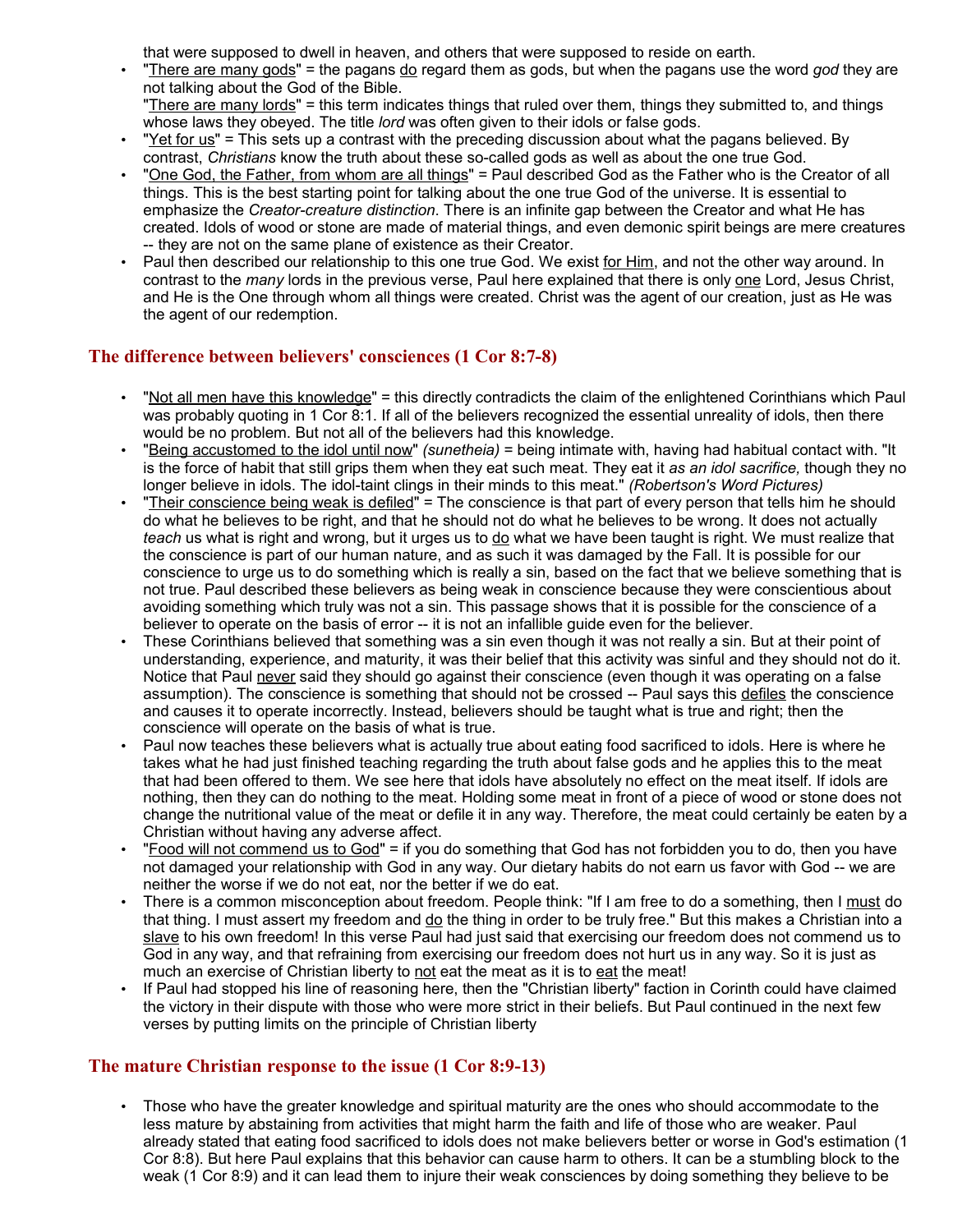that were supposed to dwell in heaven, and others that were supposed to reside on earth.

- "There are many gods" = the pagans do regard them as gods, but when the pagans use the word *god* they are not talking about the God of the Bible. "There are many lords" = this term indicates things that ruled over them, things they submitted to, and things
- whose laws they obeyed. The title *lord* was often given to their idols or false gods.
- "Yet for us" = This sets up a contrast with the preceding discussion about what the pagans believed. By contrast, *Christians* know the truth about these so-called gods as well as about the one true God.
- "One God, the Father, from whom are all things" = Paul described God as the Father who is the Creator of all things. This is the best starting point for talking about the one true God of the universe. It is essential to emphasize the *Creator-creature distinction*. There is an infinite gap between the Creator and what He has created. Idols of wood or stone are made of material things, and even demonic spirit beings are mere creatures -- they are not on the same plane of existence as their Creator.
- Paul then described our relationship to this one true God. We exist for Him, and not the other way around. In contrast to the *many* lords in the previous verse, Paul here explained that there is only one Lord, Jesus Christ, and He is the One through whom all things were created. Christ was the agent of our creation, just as He was the agent of our redemption.

## **The difference between believers' consciences (1 Cor 8:7-8)**

- "Not all men have this knowledge" = this directly contradicts the claim of the enlightened Corinthians which Paul was probably quoting in 1 Cor 8:1. If all of the believers recognized the essential unreality of idols, then there would be no problem. But not all of the believers had this knowledge.
- "Being accustomed to the idol until now" *(sunetheia)* = being intimate with, having had habitual contact with. "It is the force of habit that still grips them when they eat such meat. They eat it *as an idol sacrifice,* though they no longer believe in idols. The idol-taint clings in their minds to this meat." *(Robertson's Word Pictures)*
- "Their conscience being weak is defiled" = The conscience is that part of every person that tells him he should do what he believes to be right, and that he should not do what he believes to be wrong. It does not actually *teach* us what is right and wrong, but it urges us to <u>do</u> what we have been taught is right. We must realize that the conscience is part of our human nature, and as such it was damaged by the Fall. It is possible for our conscience to urge us to do something which is really a sin, based on the fact that we believe something that is not true. Paul described these believers as being weak in conscience because they were conscientious about avoiding something which truly was not a sin. This passage shows that it is possible for the conscience of a believer to operate on the basis of error -- it is not an infallible guide even for the believer.
- These Corinthians believed that something was a sin even though it was not really a sin. But at their point of understanding, experience, and maturity, it was their belief that this activity was sinful and they should not do it. Notice that Paul never said they should go against their conscience (even though it was operating on a false assumption). The conscience is something that should not be crossed -- Paul says this defiles the conscience and causes it to operate incorrectly. Instead, believers should be taught what is true and right; then the conscience will operate on the basis of what is true.
- Paul now teaches these believers what is actually true about eating food sacrificed to idols. Here is where he takes what he had just finished teaching regarding the truth about false gods and he applies this to the meat that had been offered to them. We see here that idols have absolutely no effect on the meat itself. If idols are nothing, then they can do nothing to the meat. Holding some meat in front of a piece of wood or stone does not change the nutritional value of the meat or defile it in any way. Therefore, the meat could certainly be eaten by a Christian without having any adverse affect.
- "Food will not commend us to God" = if you do something that God has not forbidden you to do, then you have not damaged your relationship with God in any way. Our dietary habits do not earn us favor with God -- we are neither the worse if we do not eat, nor the better if we do eat.
- There is a common misconception about freedom. People think: "If I am free to do a something, then I must do that thing. I must assert my freedom and do the thing in order to be truly free." But this makes a Christian into a slave to his own freedom! In this verse Paul had just said that exercising our freedom does not commend us to God in any way, and that refraining from exercising our freedom does not hurt us in any way. So it is just as much an exercise of Christian liberty to not eat the meat as it is to eat the meat!
- If Paul had stopped his line of reasoning here, then the "Christian liberty" faction in Corinth could have claimed the victory in their dispute with those who were more strict in their beliefs. But Paul continued in the next few verses by putting limits on the principle of Christian liberty

### **The mature Christian response to the issue (1 Cor 8:9-13)**

• Those who have the greater knowledge and spiritual maturity are the ones who should accommodate to the less mature by abstaining from activities that might harm the faith and life of those who are weaker. Paul already stated that eating food sacrificed to idols does not make believers better or worse in God's estimation (1 Cor 8:8). But here Paul explains that this behavior can cause harm to others. It can be a stumbling block to the weak (1 Cor 8:9) and it can lead them to injure their weak consciences by doing something they believe to be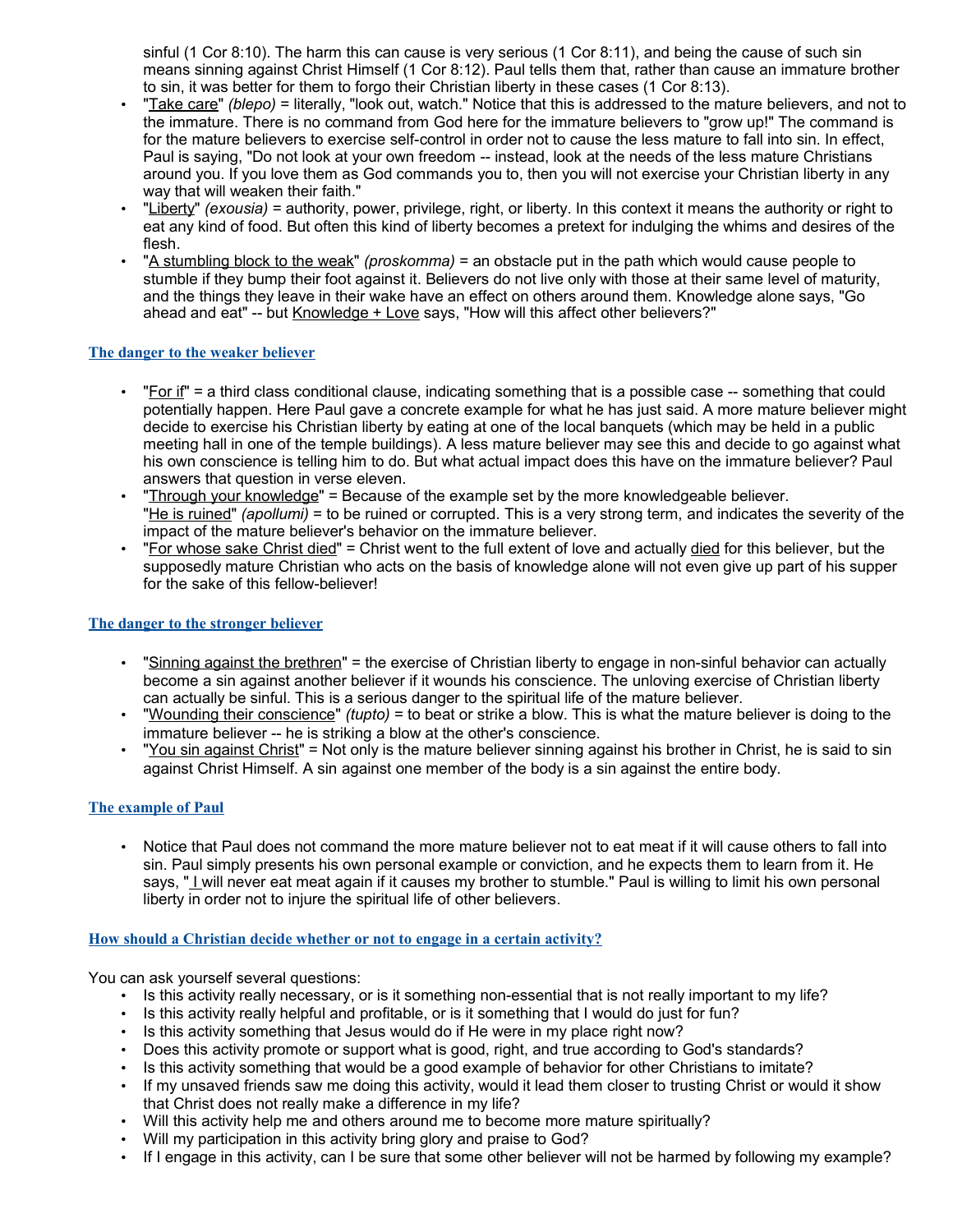sinful (1 Cor 8:10). The harm this can cause is very serious (1 Cor 8:11), and being the cause of such sin means sinning against Christ Himself (1 Cor 8:12). Paul tells them that, rather than cause an immature brother to sin, it was better for them to forgo their Christian liberty in these cases (1 Cor 8:13).

- "Take care" *(blepo)* = literally, "look out, watch." Notice that this is addressed to the mature believers, and not to the immature. There is no command from God here for the immature believers to "grow up!" The command is for the mature believers to exercise self-control in order not to cause the less mature to fall into sin. In effect, Paul is saying, "Do not look at your own freedom -- instead, look at the needs of the less mature Christians around you. If you love them as God commands you to, then you will not exercise your Christian liberty in any way that will weaken their faith."
- "Liberty" *(exousia)* = authority, power, privilege, right, or liberty. In this context it means the authority or right to eat any kind of food. But often this kind of liberty becomes a pretext for indulging the whims and desires of the flesh.
- "A stumbling block to the weak" *(proskomma)* = an obstacle put in the path which would cause people to stumble if they bump their foot against it. Believers do not live only with those at their same level of maturity, and the things they leave in their wake have an effect on others around them. Knowledge alone says, "Go ahead and eat" -- but Knowledge + Love says, "How will this affect other believers?"

#### **The danger to the weaker believer**

- $\cdot$  "For if" = a third class conditional clause, indicating something that is a possible case -- something that could potentially happen. Here Paul gave a concrete example for what he has just said. A more mature believer might decide to exercise his Christian liberty by eating at one of the local banquets (which may be held in a public meeting hall in one of the temple buildings). A less mature believer may see this and decide to go against what his own conscience is telling him to do. But what actual impact does this have on the immature believer? Paul answers that question in verse eleven.
- "Through your knowledge" = Because of the example set by the more knowledgeable believer. "He is ruined" *(apollumi)* = to be ruined or corrupted. This is a very strong term, and indicates the severity of the impact of the mature believer's behavior on the immature believer.
- "For whose sake Christ died" = Christ went to the full extent of love and actually died for this believer, but the supposedly mature Christian who acts on the basis of knowledge alone will not even give up part of his supper for the sake of this fellow-believer!

#### **The danger to the stronger believer**

- "Sinning against the brethren" = the exercise of Christian liberty to engage in non-sinful behavior can actually become a sin against another believer if it wounds his conscience. The unloving exercise of Christian liberty can actually be sinful. This is a serious danger to the spiritual life of the mature believer.
- "Wounding their conscience" *(tupto)* = to beat or strike a blow. This is what the mature believer is doing to the immature believer -- he is striking a blow at the other's conscience.
- "You sin against Christ" = Not only is the mature believer sinning against his brother in Christ, he is said to sin against Christ Himself. A sin against one member of the body is a sin against the entire body.

#### **The example of Paul**

• Notice that Paul does not command the more mature believer not to eat meat if it will cause others to fall into sin. Paul simply presents his own personal example or conviction, and he expects them to learn from it. He says, " I will never eat meat again if it causes my brother to stumble." Paul is willing to limit his own personal liberty in order not to injure the spiritual life of other believers.

#### **How should a Christian decide whether or not to engage in a certain activity?**

You can ask yourself several questions:

- Is this activity really necessary, or is it something non-essential that is not really important to my life?
- Is this activity really helpful and profitable, or is it something that I would do just for fun?
- Is this activity something that Jesus would do if He were in my place right now?
- Does this activity promote or support what is good, right, and true according to God's standards?
- Is this activity something that would be a good example of behavior for other Christians to imitate?
- If my unsaved friends saw me doing this activity, would it lead them closer to trusting Christ or would it show that Christ does not really make a difference in my life?
- Will this activity help me and others around me to become more mature spiritually?
- Will my participation in this activity bring glory and praise to God?
- If I engage in this activity, can I be sure that some other believer will not be harmed by following my example?